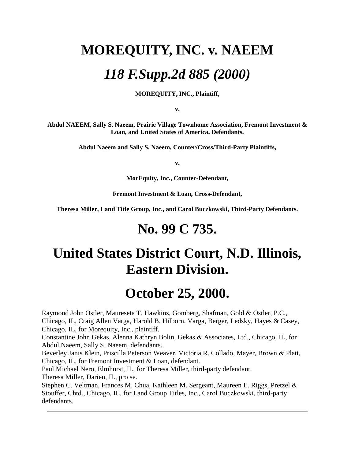# **MOREQUITY, INC. v. NAEEM**  *118 F.Supp.2d 885 (2000)*

**MOREQUITY, INC., Plaintiff,**

**v.**

**Abdul NAEEM, Sally S. Naeem, Prairie Village Townhome Association, Fremont Investment & Loan, and United States of America, Defendants.**

**Abdul Naeem and Sally S. Naeem, Counter/Cross/Third-Party Plaintiffs,**

**v.**

**MorEquity, Inc., Counter-Defendant,**

**Fremont Investment & Loan, Cross-Defendant,**

**Theresa Miller, Land Title Group, Inc., and Carol Buczkowski, Third-Party Defendants.** 

# **No. 99 C 735.**

# **United States District Court, N.D. Illinois, Eastern Division.**

# **October 25, 2000.**

Raymond John Ostler, Maureseta T. Hawkins, Gomberg, Shafman, Gold & Ostler, P.C., Chicago, IL, Craig Allen Varga, Harold B. Hilborn, Varga, Berger, Ledsky, Hayes & Casey, Chicago, IL, for Morequity, Inc., plaintiff. Constantine John Gekas, Alenna Kathryn Bolin, Gekas & Associates, Ltd., Chicago, IL, for Abdul Naeem, Sally S. Naeem, defendants. Beverley Janis Klein, Priscilla Peterson Weaver, Victoria R. Collado, Mayer, Brown & Platt, Chicago, IL, for Fremont Investment & Loan, defendant.

Paul Michael Nero, Elmhurst, IL, for Theresa Miller, third-party defendant.

Theresa Miller, Darien, IL, pro se.

Stephen C. Veltman, Frances M. Chua, Kathleen M. Sergeant, Maureen E. Riggs, Pretzel & Stouffer, Chtd., Chicago, IL, for Land Group Titles, Inc., Carol Buczkowski, third-party defendants.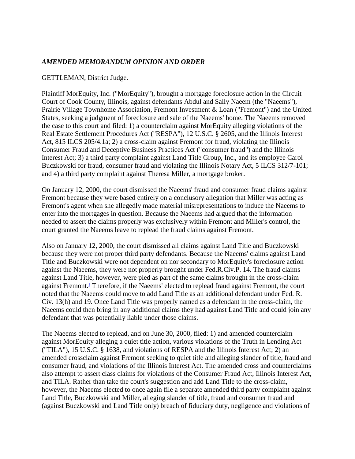# *AMENDED MEMORANDUM OPINION AND ORDER*

#### GETTLEMAN, District Judge.

Plaintiff MorEquity, Inc. ("MorEquity"), brought a mortgage foreclosure action in the Circuit Court of Cook County, Illinois, against defendants Abdul and Sally Naeem (the "Naeems"), Prairie Village Townhome Association, Fremont Investment & Loan ("Fremont") and the United States, seeking a judgment of foreclosure and sale of the Naeems' home. The Naeems removed the case to this court and filed: 1) a counterclaim against MorEquity alleging violations of the Real Estate Settlement Procedures Act ("RESPA"), 12 U.S.C. § 2605, and the Illinois Interest Act, 815 ILCS 205/4.1a; 2) a cross-claim against Fremont for fraud, violating the Illinois Consumer Fraud and Deceptive Business Practices Act ("consumer fraud") and the Illinois Interest Act; 3) a third party complaint against Land Title Group, Inc., and its employee Carol Buczkowski for fraud, consumer fraud and violating the Illinois Notary Act, 5 ILCS 312/7-101; and 4) a third party complaint against Theresa Miller, a mortgage broker.

On January 12, 2000, the court dismissed the Naeems' fraud and consumer fraud claims against Fremont because they were based entirely on a conclusory allegation that Miller was acting as Fremont's agent when she allegedly made material misrepresentations to induce the Naeems to enter into the mortgages in question. Because the Naeems had argued that the information needed to assert the claims properly was exclusively within Fremont and Miller's control, the court granted the Naeems leave to replead the fraud claims against Fremont.

Also on January 12, 2000, the court dismissed all claims against Land Title and Buczkowski because they were not proper third party defendants. Because the Naeems' claims against Land Title and Buczkowski were not dependent on nor secondary to MorEquity's foreclosure action against the Naeems, they were not properly brought under Fed.R.Civ.P. 14. The fraud claims against Land Title, however, were pled as part of the same claims brought in the cross-claim against Fremont[.](http://www.leagle.com/PrintDocument.aspx#FN_1)<sup>1</sup> Therefore, if the Naeems' elected to replead fraud against Fremont, the court noted that the Naeems could move to add Land Title as an additional defendant under Fed. R. Civ. 13(h) and 19. Once Land Title was properly named as a defendant in the cross-claim, the Naeems could then bring in any additional claims they had against Land Title and could join any defendant that was potentially liable under those claims.

The Naeems elected to replead, and on June 30, 2000, filed: 1) and amended counterclaim against MorEquity alleging a quiet title action, various violations of the Truth in Lending Act ("TILA"), 15 U.S.C. § 1638, and violations of RESPA and the Illinois Interest Act; 2) an amended crossclaim against Fremont seeking to quiet title and alleging slander of title, fraud and consumer fraud, and violations of the Illinois Interest Act. The amended cross and counterclaims also attempt to assert class claims for violations of the Consumer Fraud Act, Illinois Interest Act, and TILA. Rather than take the court's suggestion and add Land Title to the cross-claim, however, the Naeems elected to once again file a separate amended third party complaint against Land Title, Buczkowski and Miller, alleging slander of title, fraud and consumer fraud and (against Buczkowski and Land Title only) breach of fiduciary duty, negligence and violations of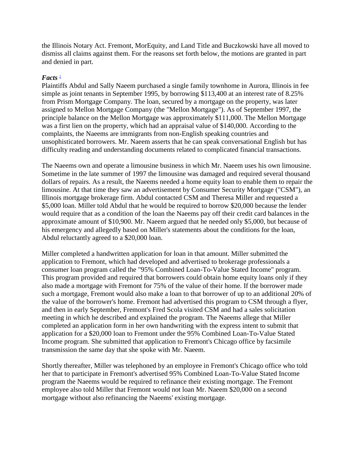the Illinois Notary Act. Fremont, MorEquity, and Land Title and Buczkowski have all moved to dismiss all claims against them. For the reasons set forth below, the motions are granted in part and denied in part.

#### $Facts<sup>2</sup>$  $Facts<sup>2</sup>$  $Facts<sup>2</sup>$

Plaintiffs Abdul and Sally Naeem purchased a single family townhome in Aurora, Illinois in fee simple as joint tenants in September 1995, by borrowing \$113,400 at an interest rate of 8.25% from Prism Mortgage Company. The loan, secured by a mortgage on the property, was later assigned to Mellon Mortgage Company (the "Mellon Mortgage"). As of September 1997, the principle balance on the Mellon Mortgage was approximately \$111,000. The Mellon Mortgage was a first lien on the property, which had an appraisal value of \$140,000. According to the complaints, the Naeems are immigrants from non-English speaking countries and unsophisticated borrowers. Mr. Naeem asserts that he can speak conversational English but has difficulty reading and understanding documents related to complicated financial transactions.

The Naeems own and operate a limousine business in which Mr. Naeem uses his own limousine. Sometime in the late summer of 1997 the limousine was damaged and required several thousand dollars of repairs. As a result, the Naeems needed a home equity loan to enable them to repair the limousine. At that time they saw an advertisement by Consumer Security Mortgage ("CSM"), an Illinois mortgage brokerage firm. Abdul contacted CSM and Theresa Miller and requested a \$5,000 loan. Miller told Abdul that he would be required to borrow \$20,000 because the lender would require that as a condition of the loan the Naeems pay off their credit card balances in the approximate amount of \$10,900. Mr. Naeem argued that he needed only \$5,000, but because of his emergency and allegedly based on Miller's statements about the conditions for the loan, Abdul reluctantly agreed to a \$20,000 loan.

Miller completed a handwritten application for loan in that amount. Miller submitted the application to Fremont, which had developed and advertised to brokerage professionals a consumer loan program called the "95% Combined Loan-To-Value Stated Income" program. This program provided and required that borrowers could obtain home equity loans only if they also made a mortgage with Fremont for 75% of the value of their home. If the borrower made such a mortgage, Fremont would also make a loan to that borrower of up to an additional 20% of the value of the borrower's home. Fremont had advertised this program to CSM through a flyer, and then in early September, Fremont's Fred Scola visited CSM and had a sales solicitation meeting in which he described and explained the program. The Naeems allege that Miller completed an application form in her own handwriting with the express intent to submit that application for a \$20,000 loan to Fremont under the 95% Combined Loan-To-Value Stated Income program. She submitted that application to Fremont's Chicago office by facsimile transmission the same day that she spoke with Mr. Naeem.

Shortly thereafter, Miller was telephoned by an employee in Fremont's Chicago office who told her that to participate in Fremont's advertised 95% Combined Loan-To-Value Stated Income program the Naeems would be required to refinance their existing mortgage. The Fremont employee also told Miller that Fremont would not loan Mr. Naeem \$20,000 on a second mortgage without also refinancing the Naeems' existing mortgage.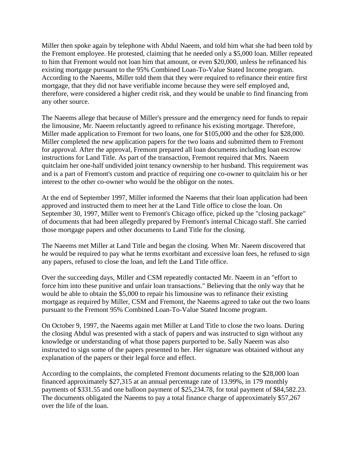Miller then spoke again by telephone with Abdul Naeem, and told him what she had been told by the Fremont employee. He protested, claiming that he needed only a \$5,000 loan. Miller repeated to him that Fremont would not loan him that amount, or even \$20,000, unless he refinanced his existing mortgage pursuant to the 95% Combined Loan-To-Value Stated Income program. According to the Naeems, Miller told them that they were required to refinance their entire first mortgage, that they did not have verifiable income because they were self employed and, therefore, were considered a higher credit risk, and they would be unable to find financing from any other source.

The Naeems allege that because of Miller's pressure and the emergency need for funds to repair the limousine, Mr. Naeem reluctantly agreed to refinance his existing mortgage. Therefore, Miller made application to Fremont for two loans, one for \$105,000 and the other for \$28,000. Miller completed the new application papers for the two loans and submitted them to Fremont for approval. After the approval, Fremont prepared all loan documents including loan escrow instructions for Land Title. As part of the transaction, Fremont required that Mrs. Naeem quitclaim her one-half undivided joint tenancy ownership to her husband. This requirement was and is a part of Fremont's custom and practice of requiring one co-owner to quitclaim his or her interest to the other co-owner who would be the obligor on the notes.

At the end of September 1997, Miller informed the Naeems that their loan application had been approved and instructed them to meet her at the Land Title office to close the loan. On September 30, 1997, Miller went to Fremont's Chicago office, picked up the "closing package" of documents that had been allegedly prepared by Fremont's internal Chicago staff. She carried those mortgage papers and other documents to Land Title for the closing.

The Naeems met Miller at Land Title and began the closing. When Mr. Naeem discovered that he would be required to pay what he terms exorbitant and excessive loan fees, he refused to sign any papers, refused to close the loan, and left the Land Title office.

Over the succeeding days, Miller and CSM repeatedly contacted Mr. Naeem in an "effort to force him into these punitive and unfair loan transactions." Believing that the only way that he would be able to obtain the \$5,000 to repair his limousine was to refinance their existing mortgage as required by Miller, CSM and Fremont, the Naeems agreed to take out the two loans pursuant to the Fremont 95% Combined Loan-To-Value Stated Income program.

On October 9, 1997, the Naeems again met Miller at Land Title to close the two loans. During the closing Abdul was presented with a stack of papers and was instructed to sign without any knowledge or understanding of what those papers purported to be. Sally Naeem was also instructed to sign some of the papers presented to her. Her signature was obtained without any explanation of the papers or their legal force and effect.

According to the complaints, the completed Fremont documents relating to the \$28,000 loan financed approximately \$27,315 at an annual percentage rate of 13.99%, in 179 monthly payments of \$331.55 and one balloon payment of \$25,234.78, for total payment of \$84,582.23. The documents obligated the Naeems to pay a total finance charge of approximately \$57,267 over the life of the loan.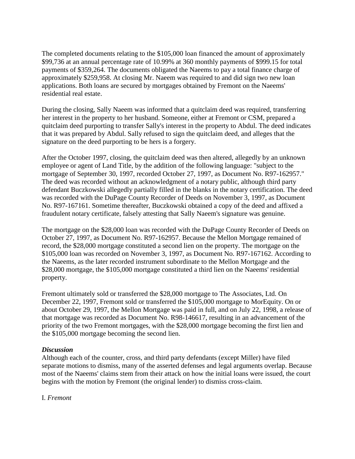The completed documents relating to the \$105,000 loan financed the amount of approximately \$99,736 at an annual percentage rate of 10.99% at 360 monthly payments of \$999.15 for total payments of \$359,264. The documents obligated the Naeems to pay a total finance charge of approximately \$259,958. At closing Mr. Naeem was required to and did sign two new loan applications. Both loans are secured by mortgages obtained by Fremont on the Naeems' residential real estate.

During the closing, Sally Naeem was informed that a quitclaim deed was required, transferring her interest in the property to her husband. Someone, either at Fremont or CSM, prepared a quitclaim deed purporting to transfer Sally's interest in the property to Abdul. The deed indicates that it was prepared by Abdul. Sally refused to sign the quitclaim deed, and alleges that the signature on the deed purporting to be hers is a forgery.

After the October 1997, closing, the quitclaim deed was then altered, allegedly by an unknown employee or agent of Land Title, by the addition of the following language: "subject to the mortgage of September 30, 1997, recorded October 27, 1997, as Document No. R97-162957." The deed was recorded without an acknowledgment of a notary public, although third party defendant Buczkowski allegedly partially filled in the blanks in the notary certification. The deed was recorded with the DuPage County Recorder of Deeds on November 3, 1997, as Document No. R97-167161. Sometime thereafter, Buczkowski obtained a copy of the deed and affixed a fraudulent notary certificate, falsely attesting that Sally Naeem's signature was genuine.

The mortgage on the \$28,000 loan was recorded with the DuPage County Recorder of Deeds on October 27, 1997, as Document No. R97-162957. Because the Mellon Mortgage remained of record, the \$28,000 mortgage constituted a second lien on the property. The mortgage on the \$105,000 loan was recorded on November 3, 1997, as Document No. R97-167162. According to the Naeems, as the later recorded instrument subordinate to the Mellon Mortgage and the \$28,000 mortgage, the \$105,000 mortgage constituted a third lien on the Naeems' residential property.

Fremont ultimately sold or transferred the \$28,000 mortgage to The Associates, Ltd. On December 22, 1997, Fremont sold or transferred the \$105,000 mortgage to MorEquity. On or about October 29, 1997, the Mellon Mortgage was paid in full, and on July 22, 1998, a release of that mortgage was recorded as Document No. R98-146617, resulting in an advancement of the priority of the two Fremont mortgages, with the \$28,000 mortgage becoming the first lien and the \$105,000 mortgage becoming the second lien.

#### *Discussion*

Although each of the counter, cross, and third party defendants (except Miller) have filed separate motions to dismiss, many of the asserted defenses and legal arguments overlap. Because most of the Naeems' claims stem from their attack on how the initial loans were issued, the court begins with the motion by Fremont (the original lender) to dismiss cross-claim.

I. *Fremont*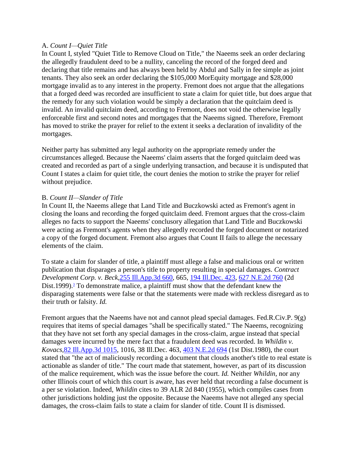#### A. *Count I—Quiet Title*

In Count I, styled "Quiet Title to Remove Cloud on Title," the Naeems seek an order declaring the allegedly fraudulent deed to be a nullity, canceling the record of the forged deed and declaring that title remains and has always been held by Abdul and Sally in fee simple as joint tenants. They also seek an order declaring the \$105,000 MorEquity mortgage and \$28,000 mortgage invalid as to any interest in the property. Fremont does not argue that the allegations that a forged deed was recorded are insufficient to state a claim for quiet title, but does argue that the remedy for any such violation would be simply a declaration that the quitclaim deed is invalid. An invalid quitclaim deed, according to Fremont, does not void the otherwise legally enforceable first and second notes and mortgages that the Naeems signed. Therefore, Fremont has moved to strike the prayer for relief to the extent it seeks a declaration of invalidity of the mortgages.

Neither party has submitted any legal authority on the appropriate remedy under the circumstances alleged. Because the Naeems' claim asserts that the forged quitclaim deed was created and recorded as part of a single underlying transaction, and because it is undisputed that Count I states a claim for quiet title, the court denies the motion to strike the prayer for relief without prejudice.

#### B. *Count II—Slander of Title*

In Count II, the Naeems allege that Land Title and Buczkowski acted as Fremont's agent in closing the loans and recording the forged quitclaim deed. Fremont argues that the cross-claim alleges no facts to support the Naeems' conclusory allegation that Land Title and Buczkowski were acting as Fremont's agents when they allegedly recorded the forged document or notarized a copy of the forged document. Fremont also argues that Count II fails to allege the necessary elements of the claim.

To state a claim for slander of title, a plaintiff must allege a false and malicious oral or written publication that disparages a person's title to property resulting in special damages. *Contract Development Corp. v. Beck,*[255 Ill.App.3d 660,](http://www.leagle.com/xmlcontentlinks.aspx?gfile=255%20Ill.App.3d%20660) 665, [194 Ill.Dec. 423,](http://www.leagle.com/xmlcontentlinks.aspx?gfile=194%20Ill.Dec.%20423) [627 N.E.2d 760](http://www.leagle.com/xmlcontentlinks.aspx?gfile=627%20N.E.2d%20760) (2d Dist[.](http://www.leagle.com/PrintDocument.aspx#FN_3)1999).<sup>3</sup> To demonstrate malice, a plaintiff must show that the defendant knew the disparaging statements were false or that the statements were made with reckless disregard as to their truth or falsity. *Id.*

Fremont argues that the Naeems have not and cannot plead special damages. Fed.R.Civ.P. 9(g) requires that items of special damages "shall be specifically stated." The Naeems, recognizing that they have not set forth any special damages in the cross-claim, argue instead that special damages were incurred by the mere fact that a fraudulent deed was recorded. In *Whildin v. Kovacs,*[82 Ill.App.3d 1015,](http://www.leagle.com/xmlcontentlinks.aspx?gfile=82%20Ill.App.3d%201015) 1016, 38 Ill.Dec. 463, [403 N.E.2d 694](http://www.leagle.com/xmlcontentlinks.aspx?gfile=403%20N.E.2d%20694) (1st Dist.1980), the court stated that "the act of maliciously recording a document that clouds another's title to real estate is actionable as slander of title." The court made that statement, however, as part of its discussion of the malice requirement, which was the issue before the court. *Id.* Neither *Whildin,* nor any other Illinois court of which this court is aware, has ever held that recording a false document is a per se violation. Indeed, *Whildin* cites to 39 ALR 2d 840 (1955), which compiles cases from other jurisdictions holding just the opposite. Because the Naeems have not alleged any special damages, the cross-claim fails to state a claim for slander of title. Count II is dismissed.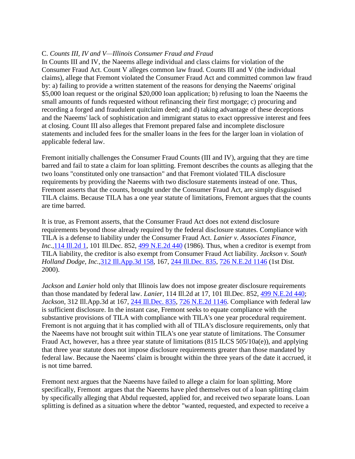#### C. *Counts III, IV and V—Illinois Consumer Fraud and Fraud*

In Counts III and IV, the Naeems allege individual and class claims for violation of the Consumer Fraud Act. Count V alleges common law fraud. Counts III and V (the individual claims), allege that Fremont violated the Consumer Fraud Act and committed common law fraud by: a) failing to provide a written statement of the reasons for denying the Naeems' original \$5,000 loan request or the original \$20,000 loan application; b) refusing to loan the Naeems the small amounts of funds requested without refinancing their first mortgage; c) procuring and recording a forged and fraudulent quitclaim deed; and d) taking advantage of these deceptions and the Naeems' lack of sophistication and immigrant status to exact oppressive interest and fees at closing. Count III also alleges that Fremont prepared false and incomplete disclosure statements and included fees for the smaller loans in the fees for the larger loan in violation of applicable federal law.

Fremont initially challenges the Consumer Fraud Counts (III and IV), arguing that they are time barred and fail to state a claim for loan splitting. Fremont describes the counts as alleging that the two loans "constituted only one transaction" and that Fremont violated TILA disclosure requirements by providing the Naeems with two disclosure statements instead of one. Thus, Fremont asserts that the counts, brought under the Consumer Fraud Act, are simply disguised TILA claims. Because TILA has a one year statute of limitations, Fremont argues that the counts are time barred.

It is true, as Fremont asserts, that the Consumer Fraud Act does not extend disclosure requirements beyond those already required by the federal disclosure statutes. Compliance with TILA is a defense to liability under the Consumer Fraud Act. *Lanier v. Associates Finance, Inc.,*[114 Ill.2d 1,](http://www.leagle.com/xmlcontentlinks.aspx?gfile=114%20Ill.2d%201) 101 Ill.Dec. 852, [499 N.E.2d 440](http://www.leagle.com/xmlcontentlinks.aspx?gfile=499%20N.E.2d%20440) (1986). Thus, when a creditor is exempt from TILA liability, the creditor is also exempt from Consumer Fraud Act liability. *Jackson v. South Holland Dodge, Inc.,*[312 Ill.App.3d 158,](http://www.leagle.com/xmlcontentlinks.aspx?gfile=312%20Ill.App.3d%20158) 167, [244 Ill.Dec. 835,](http://www.leagle.com/xmlcontentlinks.aspx?gfile=244%20Ill.Dec.%20835) [726 N.E.2d 1146](http://www.leagle.com/xmlcontentlinks.aspx?gfile=726%20N.E.2d%201146) (1st Dist. 2000).

*Jackson* and *Lanier* hold only that Illinois law does not impose greater disclosure requirements than those mandated by federal law. *Lanier,* 114 Ill.2d at 17, 101 Ill.Dec. 852, [499 N.E.2d 440;](http://www.leagle.com/xmlcontentlinks.aspx?gfile=499%20N.E.2d%20440) *Jackson,* 312 Ill.App.3d at 167, [244 Ill.Dec. 835,](http://www.leagle.com/xmlcontentlinks.aspx?gfile=244%20Ill.Dec.%20835) [726 N.E.2d 1146.](http://www.leagle.com/xmlcontentlinks.aspx?gfile=726%20N.E.2d%201146) Compliance with federal law is sufficient disclosure. In the instant case, Fremont seeks to equate compliance with the substantive provisions of TILA with compliance with TILA's one year procedural requirement. Fremont is not arguing that it has complied with all of TILA's disclosure requirements, only that the Naeems have not brought suit within TILA's one year statute of limitations. The Consumer Fraud Act, however, has a three year statute of limitations (815 ILCS 505/10a(e)), and applying that three year statute does not impose disclosure requirements greater than those mandated by federal law. Because the Naeems' claim is brought within the three years of the date it accrued, it is not time barred.

Fremont next argues that the Naeems have failed to allege a claim for loan splitting. More specifically, Fremont argues that the Naeems have pled themselves out of a loan splitting claim by specifically alleging that Abdul requested, applied for, and received two separate loans. Loan splitting is defined as a situation where the debtor "wanted, requested, and expected to receive a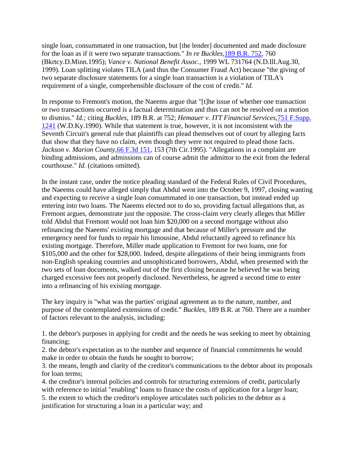single loan, consummated in one transaction, but [the lender] documented and made disclosure for the loan as if it were two separate transactions." *In re Buckles,*[189 B.R. 752,](http://www.leagle.com/xmlcontentlinks.aspx?gfile=189%20B.R.%20752) 760 (Bkrtcy.D.Minn.1995); *Vance v. National Benefit Assoc.,* 1999 WL 731764 (N.D.Ill.Aug.30, 1999). Loan splitting violates TILA (and thus the Consumer Fraud Act) because "the giving of two separate disclosure statements for a single loan transaction is a violation of TILA's requirement of a single, comprehensible disclosure of the cost of credit." *Id.*

In response to Fremont's motion, the Naeems argue that "[t]he issue of whether one transaction or two transactions occurred is a factual determination and thus can not be resolved on a motion to dismiss." *Id.;* citing *Buckles,* 189 B.R. at 752; *Hemauer v. ITT Financial Services,*[751 F.Supp.](http://www.leagle.com/xmlcontentlinks.aspx?gfile=751%20F.Supp.%201241)  [1241](http://www.leagle.com/xmlcontentlinks.aspx?gfile=751%20F.Supp.%201241) (W.D.Ky.1990). While that statement is true, however, it is not inconsistent with the Seventh Circuit's general rule that plaintiffs can plead themselves out of court by alleging facts that show that they have no claim, even though they were not required to plead those facts. *Jackson v. Marion County*, [66 F.3d 151,](http://www.leagle.com/xmlcontentlinks.aspx?gfile=66%20F.3d%20151) 153 (7th Cir.1995). "Allegations in a complaint are binding admissions, and admissions can of course admit the admittor to the exit from the federal courthouse." *Id.* (citations omitted).

In the instant case, under the notice pleading standard of the Federal Rules of Civil Procedures, the Naeems could have alleged simply that Abdul went into the October 9, 1997, closing wanting and expecting to receive a single loan consummated in one transaction, but instead ended up entering into two loans. The Naeems elected not to do so, providing factual allegations that, as Fremont argues, demonstrate just the opposite. The cross-claim very clearly alleges that Miller told Abdul that Fremont would not loan him \$20,000 on a second mortgage without also refinancing the Naeems' existing mortgage and that because of Miller's pressure and the emergency need for funds to repair his limousine, Abdul reluctantly agreed to refinance his existing mortgage. Therefore, Miller made application to Fremont for two loans, one for \$105,000 and the other for \$28,000. Indeed, despite allegations of their being immigrants from non-English speaking countries and unsophisticated borrowers, Abdul, when presented with the two sets of loan documents, walked out of the first closing because he believed he was being charged excessive fees not properly disclosed. Nevertheless, he agreed a second time to enter into a refinancing of his existing mortgage.

The key inquiry is "what was the parties' original agreement as to the nature, number, and purpose of the contemplated extensions of credit." *Buckles,* 189 B.R. at 760. There are a number of factors relevant to the analysis, including:

1. the debtor's purposes in applying for credit and the needs he was seeking to meet by obtaining financing;

2. the debtor's expectation as to the number and sequence of financial commitments he would make in order to obtain the funds he sought to borrow;

3. the means, length and clarity of the creditor's communications to the debtor about its proposals for loan terms;

4. the creditor's internal policies and controls for structuring extensions of credit, particularly with reference to initial "enabling" loans to finance the costs of application for a larger loan;

5. the extent to which the creditor's employee articulates such policies to the debtor as a justification for structuring a loan in a particular way; and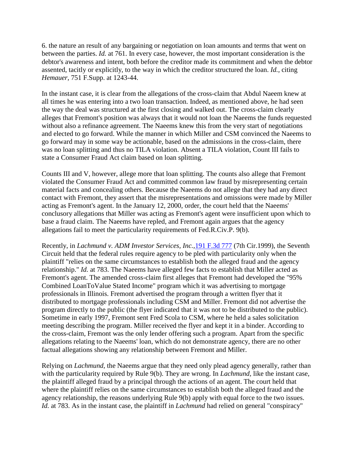6. the nature an result of any bargaining or negotiation on loan amounts and terms that went on between the parties. *Id.* at 761. In every case, however, the most important consideration is the debtor's awareness and intent, both before the creditor made its commitment and when the debtor assented, tacitly or explicitly, to the way in which the creditor structured the loan. *Id.,* citing *Hemauer,* 751 F.Supp. at 1243-44.

In the instant case, it is clear from the allegations of the cross-claim that Abdul Naeem knew at all times he was entering into a two loan transaction. Indeed, as mentioned above, he had seen the way the deal was structured at the first closing and walked out. The cross-claim clearly alleges that Fremont's position was always that it would not loan the Naeems the funds requested without also a refinance agreement. The Naeems knew this from the very start of negotiations and elected to go forward. While the manner in which Miller and CSM convinced the Naeems to go forward may in some way be actionable, based on the admissions in the cross-claim, there was no loan splitting and thus no TILA violation. Absent a TILA violation, Count III fails to state a Consumer Fraud Act claim based on loan splitting.

Counts III and V, however, allege more that loan splitting. The counts also allege that Fremont violated the Consumer Fraud Act and committed common law fraud by misrepresenting certain material facts and concealing others. Because the Naeems do not allege that they had any direct contact with Fremont, they assert that the misrepresentations and omissions were made by Miller acting as Fremont's agent. In the January 12, 2000, order, the court held that the Naeems' conclusory allegations that Miller was acting as Fremont's agent were insufficient upon which to base a fraud claim. The Naeems have repled, and Fremont again argues that the agency allegations fail to meet the particularity requirements of Fed.R.Civ.P. 9(b).

Recently, in *Lachmund v. ADM Investor Services, Inc.,*[191 F.3d 777](http://www.leagle.com/xmlcontentlinks.aspx?gfile=191%20F.3d%20777) (7th Cir.1999), the Seventh Circuit held that the federal rules require agency to be pled with particularity only when the plaintiff "relies on the same circumstances to establish both the alleged fraud and the agency relationship." *Id.* at 783. The Naeems have alleged few facts to establish that Miller acted as Fremont's agent. The amended cross-claim first alleges that Fremont had developed the "95% Combined LoanToValue Stated Income" program which it was advertising to mortgage professionals in Illinois. Fremont advertised the program through a written flyer that it distributed to mortgage professionals including CSM and Miller. Fremont did not advertise the program directly to the public (the flyer indicated that it was not to be distributed to the public). Sometime in early 1997, Fremont sent Fred Scola to CSM, where he held a sales solicitation meeting describing the program. Miller received the flyer and kept it in a binder. According to the cross-claim, Fremont was the only lender offering such a program. Apart from the specific allegations relating to the Naeems' loan, which do not demonstrate agency, there are no other factual allegations showing any relationship between Fremont and Miller.

Relying on *Lachmund,* the Naeems argue that they need only plead agency generally, rather than with the particularity required by Rule 9(b). They are wrong. In *Lachmund,* like the instant case, the plaintiff alleged fraud by a principal through the actions of an agent. The court held that where the plaintiff relies on the same circumstances to establish both the alleged fraud and the agency relationship, the reasons underlying Rule 9(b) apply with equal force to the two issues. *Id.* at 783. As in the instant case, the plaintiff in *Lachmund* had relied on general "conspiracy"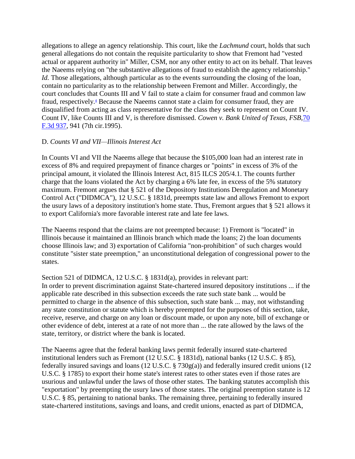allegations to allege an agency relationship. This court, like the *Lachmund* court, holds that such general allegations do not contain the requisite particularity to show that Fremont had "vested actual or apparent authority in" Miller, CSM, nor any other entity to act on its behalf. That leaves the Naeems relying on "the substantive allegations of fraud to establish the agency relationship." *Id.* Those allegations, although particular as to the events surrounding the closing of the loan, contain no particularity as to the relationship between Fremont and Miller. Accordingly, the court concludes that Counts III and V fail to state a claim for consumer fraud and common law fraud, respectively[.](http://www.leagle.com/PrintDocument.aspx#FN_4)<sup>4</sup> Because the Naeems cannot state a claim for consumer fraud, they are disqualified from acting as class representative for the class they seek to represent on Count IV. Count IV, like Counts III and V, is therefore dismissed. *Cowen v. Bank United of Texas, FSB,*[70](http://www.leagle.com/xmlcontentlinks.aspx?gfile=70%20F.3d%20937)  [F.3d 937,](http://www.leagle.com/xmlcontentlinks.aspx?gfile=70%20F.3d%20937) 941 (7th cir.1995).

#### D. *Counts VI and VII—Illinois Interest Act*

In Counts VI and VII the Naeems allege that because the \$105,000 loan had an interest rate in excess of 8% and required prepayment of finance charges or "points" in excess of 3% of the principal amount, it violated the Illinois Interest Act, 815 ILCS 205/4.1. The counts further charge that the loans violated the Act by charging a 6% late fee, in excess of the 5% statutory maximum. Fremont argues that § 521 of the Depository Institutions Deregulation and Monetary Control Act ("DIDMCA"), 12 U.S.C. § 1831d, preempts state law and allows Fremont to export the usury laws of a depository institution's home state. Thus, Fremont argues that § 521 allows it to export California's more favorable interest rate and late fee laws.

The Naeems respond that the claims are not preempted because: 1) Fremont is "located" in Illinois because it maintained an Illinois branch which made the loans; 2) the loan documents choose Illinois law; and 3) exportation of California "non-prohibition" of such charges would constitute "sister state preemption," an unconstitutional delegation of congressional power to the states.

# Section 521 of DIDMCA, 12 U.S.C. § 1831d(a), provides in relevant part:

In order to prevent discrimination against State-chartered insured depository institutions ... if the applicable rate described in this subsection exceeds the rate such state bank ... would be permitted to charge in the absence of this subsection, such state bank ... may, not withstanding any state constitution or statute which is hereby preempted for the purposes of this section, take, receive, reserve, and charge on any loan or discount made, or upon any note, bill of exchange or other evidence of debt, interest at a rate of not more than ... the rate allowed by the laws of the state, territory, or district where the bank is located.

The Naeems agree that the federal banking laws permit federally insured state-chartered institutional lenders such as Fremont (12 U.S.C. § 1831d), national banks (12 U.S.C. § 85), federally insured savings and loans (12 U.S.C. § 730g(a)) and federally insured credit unions (12 U.S.C. § 1785) to export their home state's interest rates to other states even if those rates are usurious and unlawful under the laws of those other states. The banking statutes accomplish this "exportation" by preempting the usury laws of those states. The original preemption statute is 12 U.S.C. § 85, pertaining to national banks. The remaining three, pertaining to federally insured state-chartered institutions, savings and loans, and credit unions, enacted as part of DIDMCA,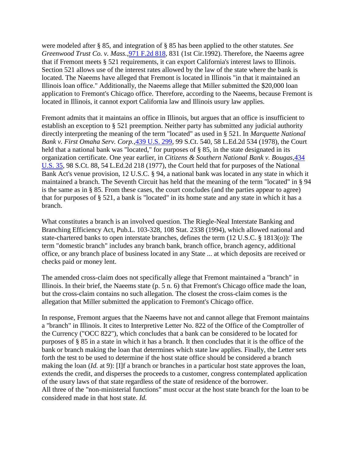were modeled after § 85, and integration of § 85 has been applied to the other statutes. *See Greenwood Trust Co. v. Mass.,*[971 F.2d 818,](http://www.leagle.com/xmlcontentlinks.aspx?gfile=971%20F.2d%20818) 831 (1st Cir.1992). Therefore, the Naeems agree that if Fremont meets § 521 requirements, it can export California's interest laws to Illinois. Section 521 allows use of the interest rates allowed by the law of the state where the bank is located. The Naeems have alleged that Fremont is located in Illinois "in that it maintained an Illinois loan office." Additionally, the Naeems allege that Miller submitted the \$20,000 loan application to Fremont's Chicago office. Therefore, according to the Naeems, because Fremont is located in Illinois, it cannot export California law and Illinois usury law applies.

Fremont admits that it maintains an office in Illinois, but argues that an office is insufficient to establish an exception to § 521 preemption. Neither party has submitted any judicial authority directly interpreting the meaning of the term "located" as used in § 521. In *Marquette National Bank v. First Omaha Serv. Corp.,*[439 U.S. 299,](http://www.leagle.com/xmlcontentlinks.aspx?gfile=439%20U.S.%20299) 99 S.Ct. 540, 58 L.Ed.2d 534 (1978), the Court held that a national bank was "located," for purposes of § 85, in the state designated in its organization certificate. One year earlier, in *Citizens & Southern National Bank v. Bougas,*[434](http://www.leagle.com/xmlcontentlinks.aspx?gfile=434%20U.S.%2035)  [U.S. 35,](http://www.leagle.com/xmlcontentlinks.aspx?gfile=434%20U.S.%2035) 98 S.Ct. 88, 54 L.Ed.2d 218 (1977), the Court held that for purposes of the National Bank Act's venue provision, 12 U.S.C. § 94, a national bank was located in any state in which it maintained a branch. The Seventh Circuit has held that the meaning of the term "located" in § 94 is the same as in § 85. From these cases, the court concludes (and the parties appear to agree) that for purposes of § 521, a bank is "located" in its home state and any state in which it has a branch.

What constitutes a branch is an involved question. The Riegle-Neal Interstate Banking and Branching Efficiency Act, Pub.L. 103-328, 108 Stat. 2338 (1994), which allowed national and state-chartered banks to open interstate branches, defines the term (12 U.S.C. § 1813(*o*)): The term "domestic branch" includes any branch bank, branch office, branch agency, additional office, or any branch place of business located in any State ... at which deposits are received or checks paid or money lent.

The amended cross-claim does not specifically allege that Fremont maintained a "branch" in Illinois. In their brief, the Naeems state (p. 5 n. 6) that Fremont's Chicago office made the loan, but the cross-claim contains no such allegation. The closest the cross-claim comes is the allegation that Miller submitted the application to Fremont's Chicago office.

In response, Fremont argues that the Naeems have not and cannot allege that Fremont maintains a "branch" in Illinois. It cites to Interpretive Letter No. 822 of the Office of the Comptroller of the Currency ("OCC 822"), which concludes that a bank can be considered to be located for purposes of § 85 in a state in which it has a branch. It then concludes that it is the office of the bank or branch making the loan that determines which state law applies. Finally, the Letter sets forth the test to be used to determine if the host state office should be considered a branch making the loan (*Id.* at 9): [I]f a branch or branches in a particular host state approves the loan, extends the credit, and disperses the proceeds to a customer, congress contemplated application of the usury laws of that state regardless of the state of residence of the borrower. All three of the "non-ministerial functions" must occur at the host state branch for the loan to be considered made in that host state. *Id.*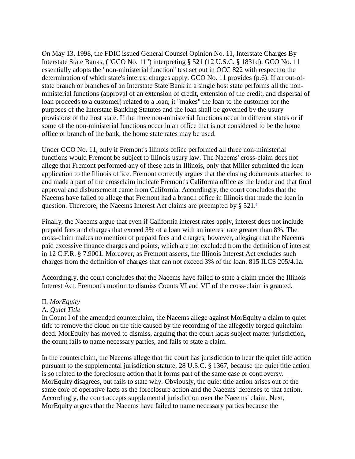On May 13, 1998, the FDIC issued General Counsel Opinion No. 11, Interstate Charges By Interstate State Banks, ("GCO No. 11") interpreting § 521 (12 U.S.C. § 1831d). GCO No. 11 essentially adopts the "non-ministerial function" test set out in OCC 822 with respect to the determination of which state's interest charges apply. GCO No. 11 provides (p.6): If an out-ofstate branch or branches of an Interstate State Bank in a single host state performs all the nonministerial functions (approval of an extension of credit, extension of the credit, and dispersal of loan proceeds to a customer) related to a loan, it "makes" the loan to the customer for the purposes of the Interstate Banking Statutes and the loan shall be governed by the usury provisions of the host state. If the three non-ministerial functions occur in different states or if some of the non-ministerial functions occur in an office that is not considered to be the home office or branch of the bank, the home state rates may be used.

Under GCO No. 11, only if Fremont's Illinois office performed all three non-ministerial functions would Fremont be subject to Illinois usury law. The Naeems' cross-claim does not allege that Fremont performed any of these acts in Illinois, only that Miller submitted the loan application to the Illinois office. Fremont correctly argues that the closing documents attached to and made a part of the crossclaim indicate Fremont's California office as the lender and that final approval and disbursement came from California. Accordingly, the court concludes that the Naeems have failed to allege that Fremont had a branch office in Illinois that made the loan in question[.](http://www.leagle.com/PrintDocument.aspx#FN_5) Therefore, the Naeems Interest Act claims are preempted by  $\S 521$ .<sup>5</sup>

Finally, the Naeems argue that even if California interest rates apply, interest does not include prepaid fees and charges that exceed 3% of a loan with an interest rate greater than 8%. The cross-claim makes no mention of prepaid fees and charges, however, alleging that the Naeems paid excessive finance charges and points, which are not excluded from the definition of interest in 12 C.F.R. § 7.9001. Moreover, as Fremont asserts, the Illinois Interest Act excludes such charges from the definition of charges that can not exceed 3% of the loan. 815 ILCS 205/4.1a.

Accordingly, the court concludes that the Naeems have failed to state a claim under the Illinois Interest Act. Fremont's motion to dismiss Counts VI and VII of the cross-claim is granted.

#### II. *MorEquity*

#### A. *Quiet Title*

In Count I of the amended counterclaim, the Naeems allege against MorEquity a claim to quiet title to remove the cloud on the title caused by the recording of the allegedly forged quitclaim deed. MorEquity has moved to dismiss, arguing that the court lacks subject matter jurisdiction, the count fails to name necessary parties, and fails to state a claim.

In the counterclaim, the Naeems allege that the court has jurisdiction to hear the quiet title action pursuant to the supplemental jurisdiction statute, 28 U.S.C. § 1367, because the quiet title action is so related to the foreclosure action that it forms part of the same case or controversy. MorEquity disagrees, but fails to state why. Obviously, the quiet title action arises out of the same core of operative facts as the foreclosure action and the Naeems' defenses to that action. Accordingly, the court accepts supplemental jurisdiction over the Naeems' claim. Next, MorEquity argues that the Naeems have failed to name necessary parties because the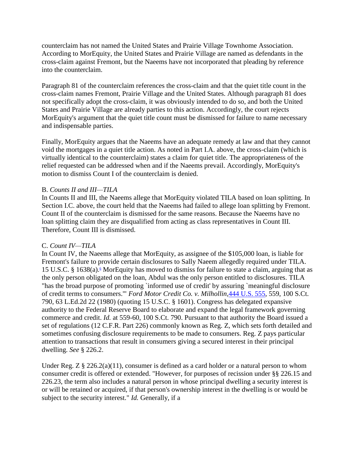counterclaim has not named the United States and Prairie Village Townhome Association. According to MorEquity, the United States and Prairie Village are named as defendants in the cross-claim against Fremont, but the Naeems have not incorporated that pleading by reference into the counterclaim.

Paragraph 81 of the counterclaim references the cross-claim and that the quiet title count in the cross-claim names Fremont, Prairie Village and the United States. Although paragraph 81 does not specifically adopt the cross-claim, it was obviously intended to do so, and both the United States and Prairie Village are already parties to this action. Accordingly, the court rejects MorEquity's argument that the quiet title count must be dismissed for failure to name necessary and indispensable parties.

Finally, MorEquity argues that the Naeems have an adequate remedy at law and that they cannot void the mortgages in a quiet title action. As noted in Part I.A. above, the cross-claim (which is virtually identical to the counterclaim) states a claim for quiet title. The appropriateness of the relief requested can be addressed when and if the Naeems prevail. Accordingly, MorEquity's motion to dismiss Count I of the counterclaim is denied.

#### B. *Counts II and III—TILA*

In Counts II and III, the Naeems allege that MorEquity violated TILA based on loan splitting. In Section I.C. above, the court held that the Naeems had failed to allege loan splitting by Fremont. Count II of the counterclaim is dismissed for the same reasons. Because the Naeems have no loan splitting claim they are disqualified from acting as class representatives in Count III. Therefore, Count III is dismissed.

#### C. *Count IV—TILA*

In Count IV, the Naeems allege that MorEquity, as assignee of the \$105,000 loan, is liable for Fremont's failure to provide certain disclosures to Sally Naeem allegedly required under TILA. 15 U[.](http://www.leagle.com/PrintDocument.aspx#FN_6)S.C. § 1638(a).<sup>6</sup> MorEquity has moved to dismiss for failure to state a claim, arguing that as the only person obligated on the loan, Abdul was the only person entitled to disclosures. TILA "has the broad purpose of promoting `informed use of credit' by assuring `meaningful disclosure of credit terms to consumers.'" *Ford Motor Credit Co. v. Milhollin,*[444 U.S. 555,](http://www.leagle.com/xmlcontentlinks.aspx?gfile=444%20U.S.%20555) 559, 100 S.Ct. 790, 63 L.Ed.2d 22 (1980) (quoting 15 U.S.C. § 1601). Congress has delegated expansive authority to the Federal Reserve Board to elaborate and expand the legal framework governing commerce and credit. *Id.* at 559-60, 100 S.Ct. 790. Pursuant to that authority the Board issued a set of regulations (12 C.F.R. Part 226) commonly known as Reg. Z, which sets forth detailed and sometimes confusing disclosure requirements to be made to consumers. Reg. Z pays particular attention to transactions that result in consumers giving a secured interest in their principal dwelling. *See* § 226.2.

Under Reg.  $Z \S 226.2(a)(11)$ , consumer is defined as a card holder or a natural person to whom consumer credit is offered or extended. "However, for purposes of recission under §§ 226.15 and 226.23, the term also includes a natural person in whose principal dwelling a security interest is or will be retained or acquired, if that person's ownership interest in the dwelling is or would be subject to the security interest." *Id.* Generally, if a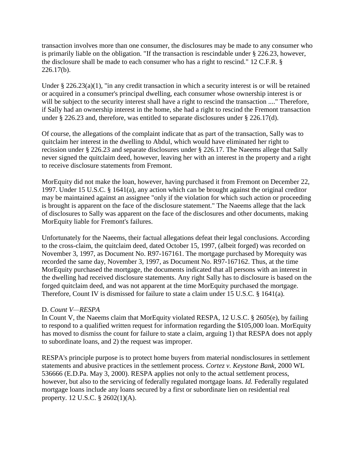transaction involves more than one consumer, the disclosures may be made to any consumer who is primarily liable on the obligation. "If the transaction is rescindable under § 226.23, however, the disclosure shall be made to each consumer who has a right to rescind." 12 C.F.R. § 226.17(b).

Under § 226.23(a)(1), "in any credit transaction in which a security interest is or will be retained or acquired in a consumer's principal dwelling, each consumer whose ownership interest is or will be subject to the security interest shall have a right to rescind the transaction ...." Therefore, if Sally had an ownership interest in the home, she had a right to rescind the Fremont transaction under § 226.23 and, therefore, was entitled to separate disclosures under § 226.17(d).

Of course, the allegations of the complaint indicate that as part of the transaction, Sally was to quitclaim her interest in the dwelling to Abdul, which would have eliminated her right to recission under § 226.23 and separate disclosures under § 226.17. The Naeems allege that Sally never signed the quitclaim deed, however, leaving her with an interest in the property and a right to receive disclosure statements from Fremont.

MorEquity did not make the loan, however, having purchased it from Fremont on December 22, 1997. Under 15 U.S.C. § 1641(a), any action which can be brought against the original creditor may be maintained against an assignee "only if the violation for which such action or proceeding is brought is apparent on the face of the disclosure statement." The Naeems allege that the lack of disclosures to Sally was apparent on the face of the disclosures and other documents, making MorEquity liable for Fremont's failures.

Unfortunately for the Naeems, their factual allegations defeat their legal conclusions. According to the cross-claim, the quitclaim deed, dated October 15, 1997, (albeit forged) was recorded on November 3, 1997, as Document No. R97-167161. The mortgage purchased by Morequity was recorded the same day, November 3, 1997, as Document No. R97-167162. Thus, at the time MorEquity purchased the mortgage, the documents indicated that all persons with an interest in the dwelling had received disclosure statements. Any right Sally has to disclosure is based on the forged quitclaim deed, and was not apparent at the time MorEquity purchased the mortgage. Therefore, Count IV is dismissed for failure to state a claim under 15 U.S.C. § 1641(a).

#### D. *Count V—RESPA*

In Count V, the Naeems claim that MorEquity violated RESPA, 12 U.S.C. § 2605(e), by failing to respond to a qualified written request for information regarding the \$105,000 loan. MorEquity has moved to dismiss the count for failure to state a claim, arguing 1) that RESPA does not apply to subordinate loans, and 2) the request was improper.

RESPA's principle purpose is to protect home buyers from material nondisclosures in settlement statements and abusive practices in the settlement process. *Cortez v. Keystone Bank,* 2000 WL 536666 (E.D.Pa. May 3, 2000). RESPA applies not only to the actual settlement process, however, but also to the servicing of federally regulated mortgage loans. *Id.* Federally regulated mortgage loans include any loans secured by a first or subordinate lien on residential real property. 12 U.S.C. § 2602(1)(A).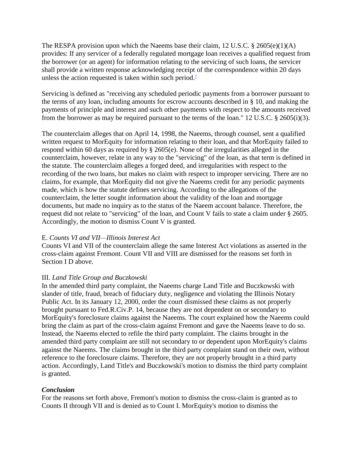The RESPA provision upon which the Naeems base their claim,  $12 \text{ U.S.C. }$  § 2605(e)(1)(A) provides: If any servicer of a federally regulated mortgage loan receives a qualified request from the borrower (or an agent) for information relating to the servicing of such loans, the servicer shall provide a written response acknowledging receipt of the correspondence within 20 days unless the action requested is taken within such period[.](http://www.leagle.com/PrintDocument.aspx#FN_7)<sup> $1$ </sup>

Servicing is defined as "receiving any scheduled periodic payments from a borrower pursuant to the terms of any loan, including amounts for escrow accounts described in § 10, and making the payments of principle and interest and such other payments with respect to the amounts received from the borrower as may be required pursuant to the terms of the loan." 12 U.S.C. § 2605(i)(3).

The counterclaim alleges that on April 14, 1998, the Naeems, through counsel, sent a qualified written request to MorEquity for information relating to their loan, and that MorEquity failed to respond within 60 days as required by § 2605(e). None of the irregularities alleged in the counterclaim, however, relate in any way to the "servicing" of the loan, as that term is defined in the statute. The counterclaim alleges a forged deed, and irregularities with respect to the recording of the two loans, but makes no claim with respect to improper servicing. There are no claims, for example, that MorEquity did not give the Naeems credit for any periodic payments made, which is how the statute defines servicing. According to the allegations of the counterclaim, the letter sought information about the validity of the loan and mortgage documents, but made no inquiry as to the status of the Naeem account balance. Therefore, the request did not relate to "servicing" of the loan, and Count V fails to state a claim under § 2605. Accordingly, the motion to dismiss Count V is granted.

# E. *Counts VI and VII—Illinois Interest Act*

Counts VI and VII of the counterclaim allege the same Interest Act violations as asserted in the cross-claim against Fremont. Count VII and VIII are dismissed for the reasons set forth in Section I D above.

# III. *Land Title Group and Buczkowski*

In the amended third party complaint, the Naeems charge Land Title and Buczkowski with slander of title, fraud, breach of fiduciary duty, negligence and violating the Illinois Notary Public Act. In its January 12, 2000, order the court dismissed these claims as not properly brought pursuant to Fed.R.Civ.P. 14, because they are not dependent on or secondary to MorEquity's foreclosure claims against the Naeems. The court explained how the Naeems could bring the claim as part of the cross-claim against Fremont and gave the Naeems leave to do so. Instead, the Naeems elected to refile the third party complaint. The claims brought in the amended third party complaint are still not secondary to or dependent upon MorEquity's claims against the Naeems. The claims brought in the third party complaint stand on their own, without reference to the foreclosure claims. Therefore, they are not properly brought in a third party action. Accordingly, Land Title's and Buczkowski's motion to dismiss the third party complaint is granted.

# *Conclusion*

For the reasons set forth above, Fremont's motion to dismiss the cross-claim is granted as to Counts II through VII and is denied as to Count I. MorEquity's motion to dismiss the